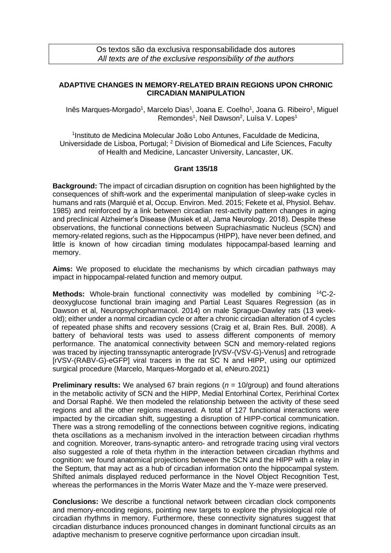Os textos são da exclusiva responsabilidade dos autores *All texts are of the exclusive responsibility of the authors*

## **ADAPTIVE CHANGES IN MEMORY-RELATED BRAIN REGIONS UPON CHRONIC CIRCADIAN MANIPULATION**

Inês Marques-Morgado<sup>1</sup>, Marcelo Dias<sup>1</sup>, Joana E. Coelho<sup>1</sup>, Joana G. Ribeiro<sup>1</sup>, Miguel Remondes<sup>1</sup>, Neil Dawson<sup>2</sup>, Luísa V. Lopes<sup>1</sup>

1 Instituto de Medicina Molecular João Lobo Antunes, Faculdade de Medicina, Universidade de Lisboa, Portugal; <sup>2</sup> Division of Biomedical and Life Sciences, Faculty of Health and Medicine, Lancaster University, Lancaster, UK.

## **Grant 135/18**

**Background:** The impact of circadian disruption on cognition has been highlighted by the consequences of shift-work and the experimental manipulation of sleep-wake cycles in humans and rats (Marquié et al, Occup. Environ. Med. 2015; Fekete et al, Physiol. Behav. 1985) and reinforced by a link between circadian rest-activity pattern changes in aging and preclinical Alzheimer's Disease (Musiek et al, Jama Neurology. 2018). Despite these observations, the functional connections between Suprachiasmatic Nucleus (SCN) and memory-related regions, such as the Hippocampus (HIPP), have never been defined, and little is known of how circadian timing modulates hippocampal-based learning and memory.

**Aims:** We proposed to elucidate the mechanisms by which circadian pathways may impact in hippocampal-related function and memory output.

**Methods:** Whole-brain functional connectivity was modelled by combining <sup>14</sup>C-2deoxyglucose functional brain imaging and Partial Least Squares Regression (as in Dawson et al, Neuropsychopharmacol. 2014) on male Sprague-Dawley rats (13 weekold); either under a normal circadian cycle or after a chronic circadian alteration of 4 cycles of repeated phase shifts and recovery sessions (Craig et al, Brain Res. Bull. 2008). A battery of behavioral tests was used to assess different components of memory performance. The anatomical connectivity between SCN and memory-related regions was traced by injecting transsynaptic anterograde [rVSV-(VSV-G)-Venus] and retrograde [rVSV-(RABV-G)-eGFP] viral tracers in the rat SC N and HIPP, using our optimized surgical procedure (Marcelo, Marques-Morgado et al, eNeuro.2021)

**Preliminary results:** We analysed 67 brain regions ( $n = 10$ /group) and found alterations in the metabolic activity of SCN and the HIPP, Medial Entorhinal Cortex, Perirhinal Cortex and Dorsal Raphé. We then modeled the relationship between the activity of these seed regions and all the other regions measured. A total of 127 functional interactions were impacted by the circadian shift, suggesting a disruption of HIPP-cortical communication. There was a strong remodelling of the connections between cognitive regions, indicating theta oscillations as a mechanism involved in the interaction between circadian rhythms and cognition. Moreover, trans-synaptic antero- and retrograde tracing using viral vectors also suggested a role of theta rhythm in the interaction between circadian rhythms and cognition: we found anatomical projections between the SCN and the HIPP with a relay in the Septum, that may act as a hub of circadian information onto the hippocampal system. Shifted animals displayed reduced performance in the Novel Object Recognition Test, whereas the performances in the Morris Water Maze and the Y-maze were preserved.

**Conclusions:** We describe a functional network between circadian clock components and memory-encoding regions, pointing new targets to explore the physiological role of circadian rhythms in memory. Furthermore, these connectivity signatures suggest that circadian disturbance induces pronounced changes in dominant functional circuits as an adaptive mechanism to preserve cognitive performance upon circadian insult.